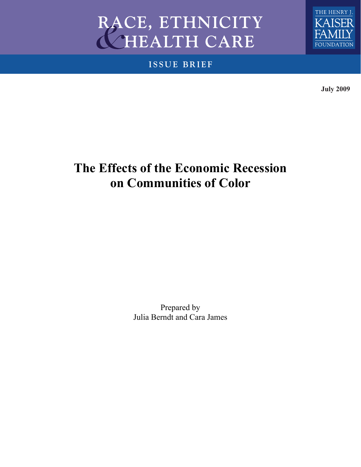# **RACE, ETHNICITY HEALTH CARE**

**ISSUE BRIEF**



**July 2009**

# **The Effects of the Economic Recession on Communities of Color**

Prepared by Julia Berndt and Cara James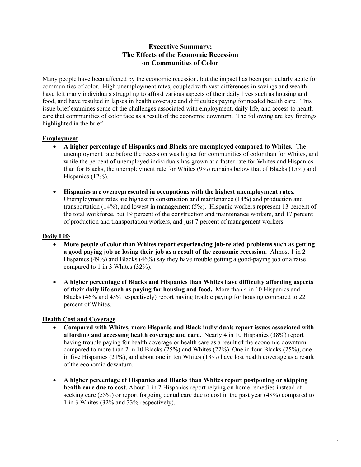#### **Executive Summary: The Effects of the Economic Recession on Communities of Color**

Many people have been affected by the economic recession, but the impact has been particularly acute for communities of color. High unemployment rates, coupled with vast differences in savings and wealth have left many individuals struggling to afford various aspects of their daily lives such as housing and food, and have resulted in lapses in health coverage and difficulties paying for needed health care. This issue brief examines some of the challenges associated with employment, daily life, and access to health care that communities of color face as a result of the economic downturn. The following are key findings highlighted in the brief:

#### **Employment**

- **A higher percentage of Hispanics and Blacks are unemployed compared to Whites.** The unemployment rate before the recession was higher for communities of color than for Whites, and while the percent of unemployed individuals has grown at a faster rate for Whites and Hispanics than for Blacks, the unemployment rate for Whites (9%) remains below that of Blacks (15%) and Hispanics (12%).
- **Hispanics are overrepresented in occupations with the highest unemployment rates.**  Unemployment rates are highest in construction and maintenance (14%) and production and transportation (14%), and lowest in management (5%). Hispanic workers represent 13 percent of the total workforce, but 19 percent of the construction and maintenance workers, and 17 percent of production and transportation workers, and just 7 percent of management workers.

#### **Daily Life**

- **More people of color than Whites report experiencing job-related problems such as getting a good paying job or losing their job as a result of the economic recession.** Almost 1 in 2 Hispanics (49%) and Blacks (46%) say they have trouble getting a good-paying job or a raise compared to 1 in 3 Whites (32%).
- **A higher percentage of Blacks and Hispanics than Whites have difficulty affording aspects of their daily life such as paying for housing and food.** More than 4 in 10 Hispanics and Blacks (46% and 43% respectively) report having trouble paying for housing compared to 22 percent of Whites.

#### **Health Cost and Coverage**

- **Compared with Whites, more Hispanic and Black individuals report issues associated with affording and accessing health coverage and care.** Nearly 4 in 10 Hispanics (38%) report having trouble paying for health coverage or health care as a result of the economic downturn compared to more than 2 in 10 Blacks (25%) and Whites (22%). One in four Blacks (25%), one in five Hispanics (21%), and about one in ten Whites (13%) have lost health coverage as a result of the economic downturn.
- **A higher percentage of Hispanics and Blacks than Whites report postponing or skipping health care due to cost.** About 1 in 2 Hispanics report relying on home remedies instead of seeking care (53%) or report forgoing dental care due to cost in the past year (48%) compared to 1 in 3 Whites (32% and 33% respectively).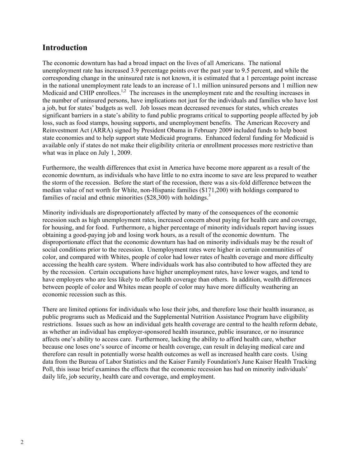### **Introduction**

The economic downturn has had a broad impact on the lives of all Americans. The national unemployment rate has increased 3.9 percentage points over the past year to 9.5 percent, and while the corresponding change in the uninsured rate is not known, it is estimated that a 1 percentage point increase in the national unemployment rate leads to an increase of 1.1 million uninsured persons and 1 million new Medicaid and CHIP enrollees.<sup>1,2</sup> The increases in the unemployment rate and the resulting increases in the number of uninsured persons, have implications not just for the individuals and families who have lost a job, but for states' budgets as well. Job losses mean decreased revenues for states, which creates significant barriers in a state's ability to fund public programs critical to supporting people affected by job loss, such as food stamps, housing supports, and unemployment benefits. The American Recovery and Reinvestment Act (ARRA) signed by President Obama in February 2009 included funds to help boost state economies and to help support state Medicaid programs. Enhanced federal funding for Medicaid is available only if states do not make their eligibility criteria or enrollment processes more restrictive than what was in place on July 1, 2009.

Furthermore, the wealth differences that exist in America have become more apparent as a result of the economic downturn, as individuals who have little to no extra income to save are less prepared to weather the storm of the recession. Before the start of the recession, there was a six-fold difference between the median value of net worth for White, non-Hispanic families (\$171,200) with holdings compared to families of racial and ethnic minorities  $(\$28,300)$  with holdings.<sup>3</sup>

Minority individuals are disproportionately affected by many of the consequences of the economic recession such as high unemployment rates, increased concern about paying for health care and coverage, for housing, and for food. Furthermore, a higher percentage of minority individuals report having issues obtaining a good-paying job and losing work hours, as a result of the economic downturn. The disproportionate effect that the economic downturn has had on minority individuals may be the result of social conditions prior to the recession. Unemployment rates were higher in certain communities of color, and compared with Whites, people of color had lower rates of health coverage and more difficulty accessing the health care system. Where individuals work has also contributed to how affected they are by the recession. Certain occupations have higher unemployment rates, have lower wages, and tend to have employers who are less likely to offer health coverage than others. In addition, wealth differences between people of color and Whites mean people of color may have more difficulty weathering an economic recession such as this.

There are limited options for individuals who lose their jobs, and therefore lose their health insurance, as public programs such as Medicaid and the Supplemental Nutrition Assistance Program have eligibility restrictions. Issues such as how an individual gets health coverage are central to the health reform debate, as whether an individual has employer-sponsored health insurance, public insurance, or no insurance affects one's ability to access care. Furthermore, lacking the ability to afford health care, whether because one loses one's source of income or health coverage, can result in delaying medical care and therefore can result in potentially worse health outcomes as well as increased health care costs. Using data from the Bureau of Labor Statistics and the Kaiser Family Foundation's June Kaiser Health Tracking Poll, this issue brief examines the effects that the economic recession has had on minority individuals' daily life, job security, health care and coverage, and employment.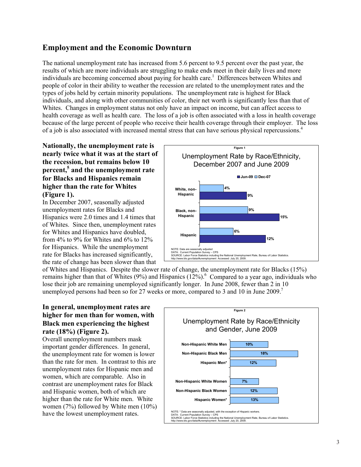# **Employment and the Economic Downturn**

The national unemployment rate has increased from 5.6 percent to 9.5 percent over the past year, the results of which are more individuals are struggling to make ends meet in their daily lives and more individuals are becoming concerned about paying for health care.<sup>1</sup> Differences between Whites and people of color in their ability to weather the recession are related to the unemployment rates and the types of jobs held by certain minority populations. The unemployment rate is highest for Black individuals, and along with other communities of color, their net worth is significantly less than that of Whites. Changes in employment status not only have an impact on income, but can affect access to health coverage as well as health care. The loss of a job is often associated with a loss in health coverage because of the large percent of people who receive their health coverage through their employer. The loss of a job is also associated with increased mental stress that can have serious physical repercussions.4

#### **Nationally, the unemployment rate is nearly twice what it was at the start of the recession, but remains below 10 percent,5 and the unemployment rate for Blacks and Hispanics remain higher than the rate for Whites (Figure 1).**

In December 2007, seasonally adjusted unemployment rates for Blacks and Hispanics were 2.0 times and 1.4 times that of Whites. Since then, unemployment rates for Whites and Hispanics have doubled, from 4% to 9% for Whites and 6% to 12% for Hispanics. While the unemployment rate for Blacks has increased significantly, the rate of change has been slower than that



of Whites and Hispanics. Despite the slower rate of change, the unemployment rate for Blacks (15%) remains higher than that of Whites (9%) and Hispanics  $(12\%)$ . Compared to a year ago, individuals who lose their job are remaining unemployed significantly longer. In June 2008, fewer than 2 in 10 unemployed persons had been so for 27 weeks or more, compared to 3 and 10 in June 2009.<sup>7</sup>

#### **In general, unemployment rates are higher for men than for women, with Black men experiencing the highest rate (18%) (Figure 2).**

Overall unemployment numbers mask important gender differences. In general, the unemployment rate for women is lower than the rate for men. In contrast to this are unemployment rates for Hispanic men and women, which are comparable. Also in contrast are unemployment rates for Black and Hispanic women, both of which are higher than the rate for White men. White women (7%) followed by White men (10%) have the lowest unemployment rates.

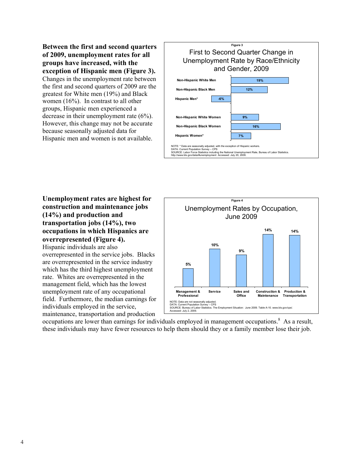**Between the first and second quarters of 2009, unemployment rates for all groups have increased, with the exception of Hispanic men (Figure 3).**

Changes in the unemployment rate between the first and second quarters of 2009 are the greatest for White men (19%) and Black women (16%). In contrast to all other groups, Hispanic men experienced a decrease in their unemployment rate (6%). However, this change may not be accurate because seasonally adjusted data for Hispanic men and women is not available.

|                                                                                                                                                                                                                                                                                                  | <b>Figure 3</b><br>First to Second Quarter Change in<br>Unemployment Rate by Race/Ethnicity |  |  |  |
|--------------------------------------------------------------------------------------------------------------------------------------------------------------------------------------------------------------------------------------------------------------------------------------------------|---------------------------------------------------------------------------------------------|--|--|--|
|                                                                                                                                                                                                                                                                                                  | and Gender, 2009                                                                            |  |  |  |
| Non-Hispanic White Men                                                                                                                                                                                                                                                                           | 19%                                                                                         |  |  |  |
| Non-Hispanic Black Men                                                                                                                                                                                                                                                                           | 12%                                                                                         |  |  |  |
| Hispanic Men*<br>$-6%$                                                                                                                                                                                                                                                                           |                                                                                             |  |  |  |
| Non-Hispanic White Women                                                                                                                                                                                                                                                                         | 9%                                                                                          |  |  |  |
| Non-Hispanic Black Women<br>16%                                                                                                                                                                                                                                                                  |                                                                                             |  |  |  |
| Hispanic Women*                                                                                                                                                                                                                                                                                  | 7%                                                                                          |  |  |  |
| NOTE: * Data are seasonally adjusted, with the exception of Hispanic workers.<br>DATA: Current Population Survey - CPS<br>SOURCE: Labor Force Statistics including the National Unemployment Rate, Bureau of Labor Statistics.<br>http://www.bls.gov/data/#unemployment Accessed: July 20, 2009. |                                                                                             |  |  |  |

**Unemployment rates are highest for construction and maintenance jobs (14%) and production and transportation jobs (14%), two occupations in which Hispanics are overrepresented (Figure 4).** 

Hispanic individuals are also overrepresented in the service jobs. Blacks are overrepresented in the service industry which has the third highest unemployment rate. Whites are overrepresented in the management field, which has the lowest unemployment rate of any occupational field. Furthermore, the median earnings for individuals employed in the service, maintenance, transportation and production



occupations are lower than earnings for individuals employed in management occupations.<sup>8</sup> As a result, these individuals may have fewer resources to help them should they or a family member lose their job.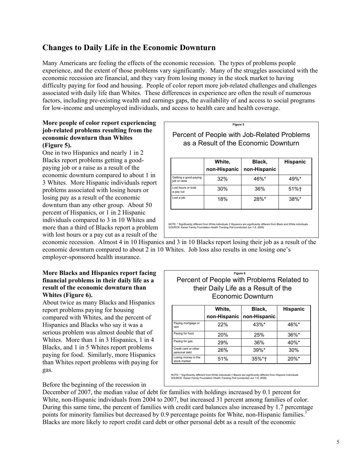# **Changes to Daily Life in the Economic Downturn**

Many Americans are feeling the effects of the economic recession. The types of problems people experience, and the extent of those problems vary significantly. Many of the struggles associated with the economic recession are financial, and they vary from losing money in the stock market to having difficulty paying for food and housing. People of color report more job-related challenges and challenges associated with daily life than Whites. These differences in experience are often the result of numerous factors, including pre-existing wealth and earnings gaps, the availability of and access to social programs for low-income and unemployed individuals, and access to health care and health coverage.

#### **More people of color report experiencing job-related problems resulting from the economic downturn than Whites (Figure 5).**

One in two Hispanics and nearly 1 in 2 Blacks report problems getting a goodpaying job or a raise as a result of the economic downturn compared to about 1 in 3 Whites. More Hispanic individuals report problems associated with losing hours or losing pay as a result of the economic downturn than any other group. About 50 percent of Hispanics, or 1 in 2 Hispanic individuals compared to 3 in 10 Whites and more than a third of Blacks report a problem with lost hours or a pay cut as a result of the



economic recession. Almost 4 in 10 Hispanics and 3 in 10 Blacks report losing their job as a result of the economic downturn compared to about 2 in 10 Whites. Job loss also results in one losing one's employer-sponsored health insurance.

#### **More Blacks and Hispanics report facing financial problems in their daily life as a result of the economic downturn than Whites (Figure 6).**

About twice as many Blacks and Hispanics report problems paying for housing compared with Whites, and the percent of Hispanics and Blacks who say it was a serious problem was almost double that of Whites. More than 1 in 3 Hispanics, 1 in 4 Blacks, and 1 in 5 Whites report problems paying for food. Similarly, more Hispanics than Whites report problems with paying for gas.

|                   |                                            |  | المقموم مرجلانا |
|-------------------|--------------------------------------------|--|-----------------|
| Economic Downturn |                                            |  |                 |
|                   | their Daily Life as a Result of the        |  |                 |
|                   | Percent of People with Problems Related to |  |                 |
|                   | Figure 6                                   |  |                 |

|                                       | White,       | Black,       | <b>Hispanic</b> |
|---------------------------------------|--------------|--------------|-----------------|
|                                       | non-Hispanic | non-Hispanic |                 |
| Paying mortgage or<br>rent            | 22%          | $43\%$ *     | $46\%$ *        |
| Paying for food                       | <b>20%</b>   | 25%          | $36\%$ *        |
| Paying for gas                        | 29%          | 36%          | $40\%$ *        |
| Credit card or other<br>personal debt | 26%          | $39\%$ *     | 30%             |
| Losing money in the<br>stock market   | 51%          | $35\%*+$     | $20\%$ *        |

NOTE: \* Significantly different from White individuals † Blacks are significantly different from Hispanic individuals SOURCE: Kaiser Family Foundation *Health Tracking Poll* (conducted Jun 1-8, 2009)

#### Before the beginning of the recession in

December of 2007, the median value of debt for families with holdings increased by 0.1 percent for White, non-Hispanic individuals from 2004 to 2007, but increased 31 percent among families of color. During this same time, the percent of families with credit card balances also increased by 1.7 percentage points for minority families but decreased by 0.9 percentage points for White, non-Hispanic families.<sup>3</sup> Blacks are more likely to report credit card debt or other personal debt as a result of the economic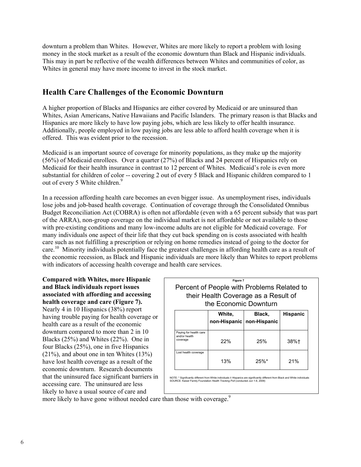downturn a problem than Whites. However, Whites are more likely to report a problem with losing money in the stock market as a result of the economic downturn than Black and Hispanic individuals. This may in part be reflective of the wealth differences between Whites and communities of color, as Whites in general may have more income to invest in the stock market.

# **Health Care Challenges of the Economic Downturn**

A higher proportion of Blacks and Hispanics are either covered by Medicaid or are uninsured than Whites, Asian Americans, Native Hawaiians and Pacific Islanders. The primary reason is that Blacks and Hispanics are more likely to have low paying jobs, which are less likely to offer health insurance. Additionally, people employed in low paying jobs are less able to afford health coverage when it is offered. This was evident prior to the recession.

Medicaid is an important source of coverage for minority populations, as they make up the majority (56%) of Medicaid enrollees. Over a quarter (27%) of Blacks and 24 percent of Hispanics rely on Medicaid for their health insurance in contrast to 12 percent of Whites. Medicaid's role is even more substantial for children of color -- covering 2 out of every 5 Black and Hispanic children compared to 1 out of every 5 White children.<sup>9</sup>

In a recession affording health care becomes an even bigger issue. As unemployment rises, individuals lose jobs and job-based health coverage. Continuation of coverage through the Consolidated Omnibus Budget Reconciliation Act (COBRA) is often not affordable (even with a 65 percent subsidy that was part of the ARRA), non-group coverage on the individual market is not affordable or not available to those with pre-existing conditions and many low-income adults are not eligible for Medicaid coverage. For many individuals one aspect of their life that they cut back spending on is costs associated with health care such as not fulfilling a prescription or relying on home remedies instead of going to the doctor for care.<sup>10</sup> Minority individuals potentially face the greatest challenges in affording health care as a result of the economic recession, as Black and Hispanic individuals are more likely than Whites to report problems with indicators of accessing health coverage and health care services.

**Compared with Whites, more Hispanic and Black individuals report issues associated with affording and accessing health coverage and care (Figure 7).**  Nearly 4 in 10 Hispanics (38%) report having trouble paying for health coverage or health care as a result of the economic downturn compared to more than 2 in 10 Blacks (25%) and Whites (22%). One in four Blacks (25%), one in five Hispanics (21%), and about one in ten Whites (13%) have lost health coverage as a result of the economic downturn. Research documents that the uninsured face significant barriers in accessing care. The uninsured are less likely to have a usual source of care and

|                                                     | Figure 7<br>the Economic Downturn | Percent of People with Problems Related to<br>their Health Coverage as a Result of |                 |
|-----------------------------------------------------|-----------------------------------|------------------------------------------------------------------------------------|-----------------|
|                                                     | White.<br>non-Hispanic            | Black,<br>non-Hispanic                                                             | <b>Hispanic</b> |
| Paying for health care<br>and/or health<br>coverage | 22%                               | 25%                                                                                | 38%†            |
| Lost health coverage                                | 13%                               | 25%                                                                                | 21%             |

more likely to have gone without needed care than those with coverage.<sup>9</sup>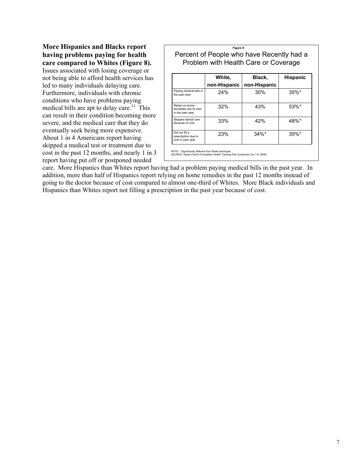**More Hispanics and Blacks report having problems paying for health care compared to Whites (Figure 8).**  Issues associated with losing coverage or not being able to afford health services has led to many individuals delaying care. Furthermore, individuals with chronic conditions who have problems paying medical bills are apt to delay care.<sup>11</sup> This can result in their condition becoming more severe, and the medical care that they do eventually seek being more expensive. About 1 in 4 Americans report having skipped a medical test or treatment due to cost in the past 12 months, and nearly 1 in 3 report having put off or postponed needed

|                                                            | Figure 8                                                                          |              |                 |
|------------------------------------------------------------|-----------------------------------------------------------------------------------|--------------|-----------------|
|                                                            | Percent of People who have Recently had a<br>Problem with Health Care or Coverage |              |                 |
|                                                            | White,                                                                            | Black,       | <b>Hispanic</b> |
|                                                            | non-Hispanic                                                                      | non-Hispanic |                 |
| Paying medical bills in<br>the past year                   | 24%                                                                               | 30%          | $35\%$ *        |
| Relied on home<br>remedies due to cost<br>in the past year | 32%                                                                               | 43%          | 53%*            |
| Skipped dental care<br>because of cost                     | 33%                                                                               | 42%          | 48%*            |
| Did not fill a<br>prescription due to<br>cost in past year | 23%                                                                               | $34\%$ *     | $35\%$ *        |

care. More Hispanics than Whites report having had a problem paying medical bills in the past year. In addition, more than half of Hispanics report relying on home remedies in the past 12 months instead of going to the doctor because of cost compared to almost one-third of Whites. More Black individuals and Hispanics than Whites report not filling a prescription in the past year because of cost.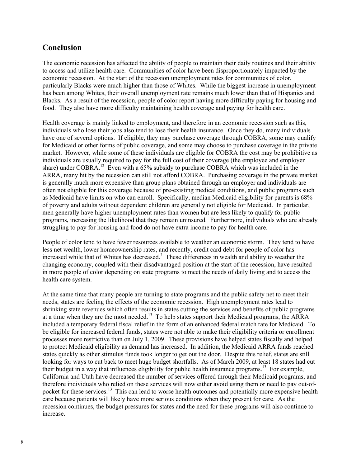## **Conclusion**

The economic recession has affected the ability of people to maintain their daily routines and their ability to access and utilize health care. Communities of color have been disproportionately impacted by the economic recession. At the start of the recession unemployment rates for communities of color, particularly Blacks were much higher than those of Whites. While the biggest increase in unemployment has been among Whites, their overall unemployment rate remains much lower than that of Hispanics and Blacks. As a result of the recession, people of color report having more difficulty paying for housing and food. They also have more difficulty maintaining health coverage and paying for health care.

Health coverage is mainly linked to employment, and therefore in an economic recession such as this, individuals who lose their jobs also tend to lose their health insurance. Once they do, many individuals have one of several options. If eligible, they may purchase coverage through COBRA, some may qualify for Medicaid or other forms of public coverage, and some may choose to purchase coverage in the private market. However, while some of these individuals are eligible for COBRA the cost may be prohibitive as individuals are usually required to pay for the full cost of their coverage (the employee and employer share) under COBRA.<sup>12</sup> Even with a 65% subsidy to purchase COBRA which was included in the ARRA, many hit by the recession can still not afford COBRA. Purchasing coverage in the private market is generally much more expensive than group plans obtained through an employer and individuals are often not eligible for this coverage because of pre-existing medical conditions, and public programs such as Medicaid have limits on who can enroll. Specifically, median Medicaid eligibility for parents is 68% of poverty and adults without dependent children are generally not eligible for Medicaid. In particular, men generally have higher unemployment rates than women but are less likely to qualify for public programs, increasing the likelihood that they remain uninsured. Furthermore, individuals who are already struggling to pay for housing and food do not have extra income to pay for health care.

People of color tend to have fewer resources available to weather an economic storm. They tend to have less net wealth, lower homeownership rates, and recently, credit card debt for people of color has increased while that of Whites has decreased.<sup>3</sup> These differences in wealth and ability to weather the changing economy, coupled with their disadvantaged position at the start of the recession, have resulted in more people of color depending on state programs to meet the needs of daily living and to access the health care system.

At the same time that many people are turning to state programs and the public safety net to meet their needs, states are feeling the effects of the economic recession. High unemployment rates lead to shrinking state revenues which often results in states cutting the services and benefits of public programs at a time when they are the most needed.<sup>13</sup> To help states support their Medicaid programs, the ARRA included a temporary federal fiscal relief in the form of an enhanced federal match rate for Medicaid. To be eligible for increased federal funds, states were not able to make their eligibility criteria or enrollment processes more restrictive than on July 1, 2009. These provisions have helped states fiscally and helped to protect Medicaid eligibility as demand has increased. In addition, the Medicaid ARRA funds reached states quickly as other stimulus funds took longer to get out the door. Despite this relief, states are still looking for ways to cut back to meet huge budget shortfalls. As of March 2009, at least 18 states had cut their budget in a way that influences eligibility for public health insurance programs.<sup>13</sup> For example, California and Utah have decreased the number of services offered through their Medicaid programs, and therefore individuals who relied on these services will now either avoid using them or need to pay out-ofpocket for these services.<sup>13</sup> This can lead to worse health outcomes and potentially more expensive health care because patients will likely have more serious conditions when they present for care. As the recession continues, the budget pressures for states and the need for these programs will also continue to increase.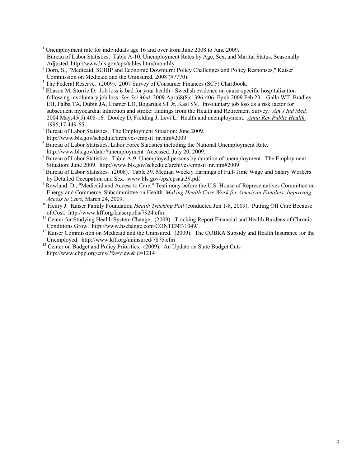- 1 Unemployment rate for individuals age 16 and over from June 2008 to June 2009. Bureau of Labor Statistics. Table A-10. Unemployment Rates by Age, Sex, and Marital Status, Seasonally Adjusted. http://www.bls.gov/cps/tables.htm#monthly
- Adjusted. http://www.bls.gov/cps/tables.htm#monthly<br><sup>2</sup> Dorn, S., "Medicaid, SCHIP and Economic Downturn: Policy Challenges and Policy Responses," Kaiser Commission on Medicaid and the Uninsured, 2008 (#7770).
- <sup>3</sup> The Federal Reserve. (2009). 2007 Survey of Consumer Finances (SCF) Chartbook.
- <sup>4</sup> Eliason M, Storrie D. Job loss is bad for your health Swedish evidence on cause-specific hospitalization following involuntary job loss. *Soc Sci Med.* 2009 Apr;68(8):1396-406. Epub 2009 Feb 23. Gallo WT, Bradley EH, Falba TA, Dubin JA, Cramer LD, Bogardus ST Jr, Kasl SV. Involuntary job loss as a risk factor for subsequent myocardial infarction and stroke: findings from the Health and Retirement Survey. *Am J Ind Med.* 2004 May;45(5):408-16. Dooley D, Fielding J, Levi L. Health and unemployment. *Annu Rev Public Health.*
- 1996;17:449-65.<br><sup>5</sup> Bureau of Labor Statistics. The Employment Situation: June 2009. http://www.bls.gov/schedule/archives/empsit\_nr.htm#2009 <sup>6</sup>
- <sup>6</sup> Bureau of Labor Statistics. Labor Force Statistics including the National Unemployment Rate. http://www.bls.gov/data/#unemployment Accessed: July 20, 2009.
- <sup>7</sup> Bureau of Labor Statistics. Table  $\overline{A}$ -9. Unemployed persons by duration of unemployment. The Employment Situation: June 2009. http://www.bls.gov/schedule/archives/empsit\_nr.htm#2009
- <sup>8</sup> Bureau of Labor Statistics. (2008). Table 39. Median Weekly Earnings of Full-Time Wage and Salary Workers by Detailed Occupation and Sex. www.bls.gov/cps/cpsaat39.pdf
- <sup>9</sup> Rowland, D., "Medicaid and Access to Care," Testimony before the U.S. House of Representatives Committee on Energy and Commerce, Subcommittee on Health*, Making Health Care Work for American Families: Improving*
- *Access to Care*, March 24, 2009.<br><sup>10</sup> Henry J. Kaiser Family Foundation *Health Tracking Poll* (conducted Jun 1-8, 2009). Putting Off Care Because<br>of Cost. http://www.kff.org/kaiserpolls/7924.cfm
- $11$  Center for Studying Health System Change. (2009). Tracking Report Financial and Health Burdens of Chronic
- Conditions Grow. http://www.hschange.com/CONTENT/1049/<br><sup>12</sup> Kaiser Commission on Medicaid and the Uninsured. (2009). The COBRA Subsidy and Health Insurance for the Unemployed. http://www.kff.org/uninsured/7875.cfm
- <sup>13</sup> Center on Budget and Policy Priorities. (2009). An Update on State Budget Cuts. http://www.cbpp.org/cms/?fa=view&id=1214